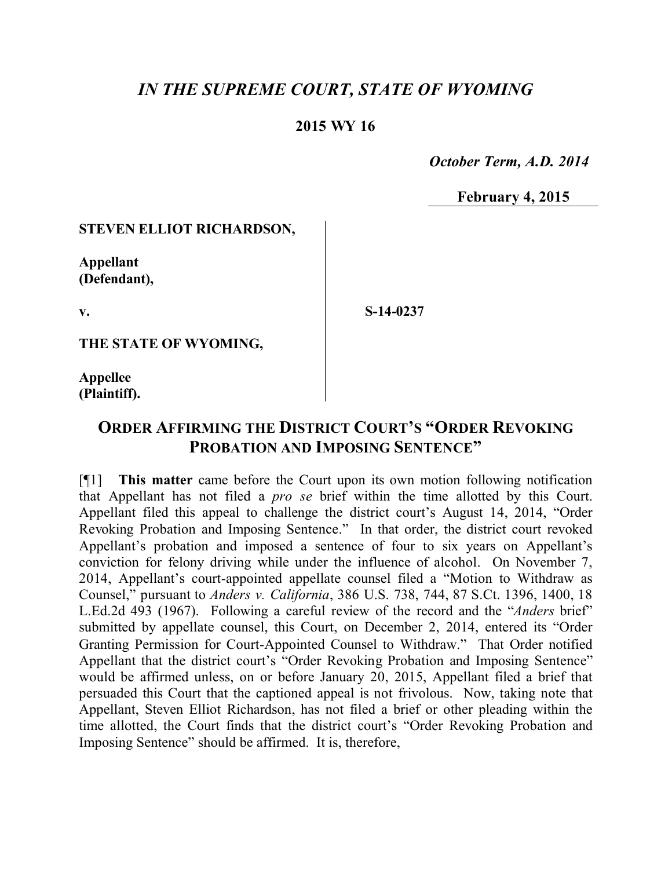# *IN THE SUPREME COURT, STATE OF WYOMING*

### **2015 WY 16**

 *October Term, A.D. 2014*

**February 4, 2015**

#### **STEVEN ELLIOT RICHARDSON,**

**Appellant (Defendant),**

**v.**

**S-14-0237**

**THE STATE OF WYOMING,**

**Appellee (Plaintiff).**

## **ORDER AFFIRMING THE DISTRICT COURT'S "ORDER REVOKING PROBATION AND IMPOSING SENTENCE"**

[¶1] **This matter** came before the Court upon its own motion following notification that Appellant has not filed a *pro se* brief within the time allotted by this Court. Appellant filed this appeal to challenge the district court's August 14, 2014, "Order Revoking Probation and Imposing Sentence." In that order, the district court revoked Appellant's probation and imposed a sentence of four to six years on Appellant's conviction for felony driving while under the influence of alcohol. On November 7, 2014, Appellant's court-appointed appellate counsel filed a "Motion to Withdraw as Counsel," pursuant to *Anders v. California*, 386 U.S. 738, 744, 87 S.Ct. 1396, 1400, 18 L.Ed.2d 493 (1967). Following a careful review of the record and the "*Anders* brief" submitted by appellate counsel, this Court, on December 2, 2014, entered its "Order Granting Permission for Court-Appointed Counsel to Withdraw." That Order notified Appellant that the district court's "Order Revoking Probation and Imposing Sentence" would be affirmed unless, on or before January 20, 2015, Appellant filed a brief that persuaded this Court that the captioned appeal is not frivolous. Now, taking note that Appellant, Steven Elliot Richardson, has not filed a brief or other pleading within the time allotted, the Court finds that the district court's "Order Revoking Probation and Imposing Sentence" should be affirmed. It is, therefore,